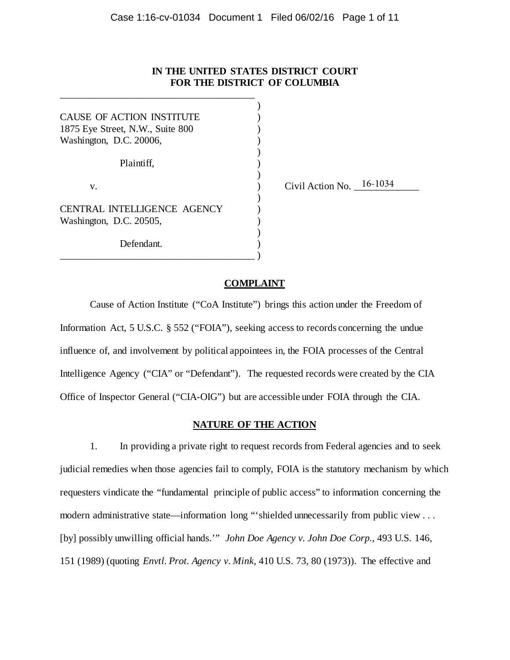## **IN THE UNITED STATES DISTRICT COURT FOR THE DISTRICT OF COLUMBIA**

| CAUSE OF ACTION INSTITUTE<br>1875 Eye Street, N.W., Suite 800<br>Washington, D.C. 20006, |                          |
|------------------------------------------------------------------------------------------|--------------------------|
| Plaintiff,                                                                               |                          |
| V.                                                                                       | Civil Action No. 16-1034 |
| <b>CENTRAL INTELLIGENCE AGENCY</b>                                                       |                          |
| Washington, D.C. 20505,                                                                  |                          |
| Defendant.                                                                               |                          |

\_\_\_\_\_\_\_\_\_\_\_\_\_\_\_\_\_\_\_\_\_\_\_\_\_\_\_\_\_\_\_\_\_\_\_\_\_\_\_

## **COMPLAINT**

Cause of Action Institute ("CoA Institute") brings this action under the Freedom of Information Act, 5 U.S.C. § 552 ("FOIA"), seeking access to records concerning the undue influence of, and involvement by political appointees in, the FOIA processes of the Central Intelligence Agency ("CIA" or "Defendant"). The requested records were created by the CIA Office of Inspector General ("CIA-OIG") but are accessible under FOIA through the CIA.

## **NATURE OF THE ACTION**

1. In providing a private right to request records from Federal agencies and to seek judicial remedies when those agencies fail to comply, FOIA is the statutory mechanism by which requesters vindicate the "fundamental principle of public access" to information concerning the modern administrative state—information long "'shielded unnecessarily from public view . . . [by] possibly unwilling official hands.'" *John Doe Agency v. John Doe Corp.*, 493 U.S. 146, 151 (1989) (quoting *Envtl. Prot. Agency v. Mink*, 410 U.S. 73, 80 (1973)). The effective and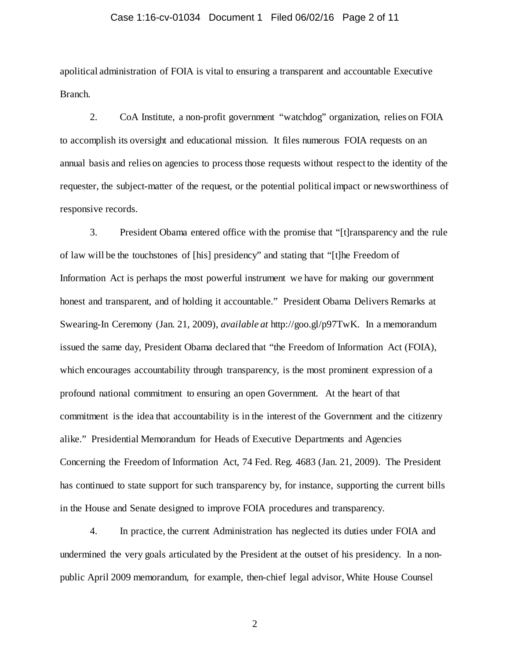#### Case 1:16-cv-01034 Document 1 Filed 06/02/16 Page 2 of 11

apolitical administration of FOIA is vital to ensuring a transparent and accountable Executive Branch.

2. CoA Institute, a non-profit government "watchdog" organization, relies on FOIA to accomplish its oversight and educational mission. It files numerous FOIA requests on an annual basis and relies on agencies to process those requests without respect to the identity of the requester, the subject-matter of the request, or the potential political impact or newsworthiness of responsive records.

3. President Obama entered office with the promise that "[t]ransparency and the rule of law will be the touchstones of [his] presidency" and stating that "[t]he Freedom of Information Act is perhaps the most powerful instrument we have for making our government honest and transparent, and of holding it accountable." President Obama Delivers Remarks at Swearing-In Ceremony (Jan. 21, 2009), *available at* http://goo.gl/p97TwK. In a memorandum issued the same day, President Obama declared that "the Freedom of Information Act (FOIA), which encourages accountability through transparency, is the most prominent expression of a profound national commitment to ensuring an open Government. At the heart of that commitment is the idea that accountability is in the interest of the Government and the citizenry alike." Presidential Memorandum for Heads of Executive Departments and Agencies Concerning the Freedom of Information Act, 74 Fed. Reg. 4683 (Jan. 21, 2009). The President has continued to state support for such transparency by, for instance, supporting the current bills in the House and Senate designed to improve FOIA procedures and transparency.

4. In practice, the current Administration has neglected its duties under FOIA and undermined the very goals articulated by the President at the outset of his presidency. In a nonpublic April 2009 memorandum, for example, then-chief legal advisor, White House Counsel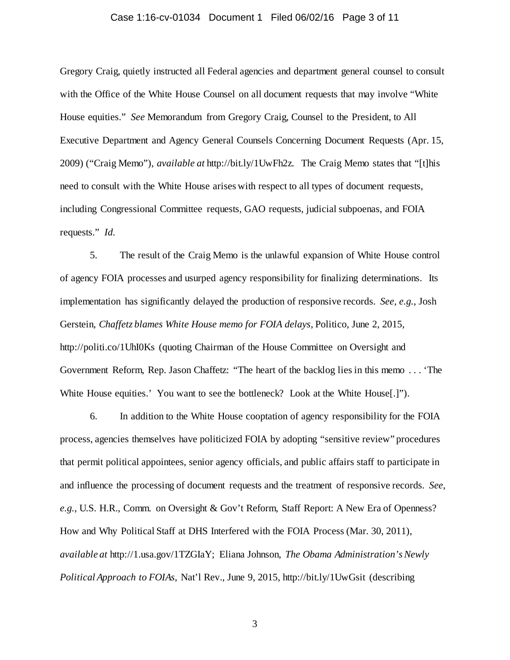#### Case 1:16-cv-01034 Document 1 Filed 06/02/16 Page 3 of 11

Gregory Craig, quietly instructed all Federal agencies and department general counsel to consult with the Office of the White House Counsel on all document requests that may involve "White House equities." *See* Memorandum from Gregory Craig, Counsel to the President, to All Executive Department and Agency General Counsels Concerning Document Requests (Apr. 15, 2009) ("Craig Memo"), *available at* http://bit.ly/1UwFh2z. The Craig Memo states that "[t]his need to consult with the White House arises with respect to all types of document requests, including Congressional Committee requests, GAO requests, judicial subpoenas, and FOIA requests." *Id.*

5. The result of the Craig Memo is the unlawful expansion of White House control of agency FOIA processes and usurped agency responsibility for finalizing determinations. Its implementation has significantly delayed the production of responsive records. *See, e.g.*, Josh Gerstein, *Chaffetz blames White House memo for FOIA delays*, Politico, June 2, 2015, http://politi.co/1UhI0Ks (quoting Chairman of the House Committee on Oversight and Government Reform, Rep. Jason Chaffetz: "The heart of the backlog lies in this memo . . . 'The White House equities.' You want to see the bottleneck? Look at the White House[.]").

6. In addition to the White House cooptation of agency responsibility for the FOIA process, agencies themselves have politicized FOIA by adopting "sensitive review" procedures that permit political appointees, senior agency officials, and public affairs staff to participate in and influence the processing of document requests and the treatment of responsive records. *See, e.g.*, U.S. H.R., Comm. on Oversight & Gov't Reform, Staff Report: A New Era of Openness? How and Why Political Staff at DHS Interfered with the FOIA Process (Mar. 30, 2011), *available at* http://1.usa.gov/1TZGIaY; Eliana Johnson, *The Obama Administration's Newly Political Approach to FOIAs*, Nat'l Rev., June 9, 2015, http://bit.ly/1UwGsit (describing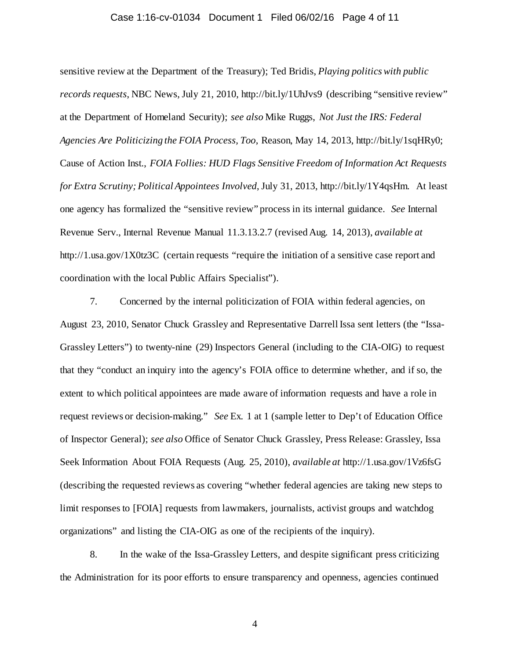#### Case 1:16-cv-01034 Document 1 Filed 06/02/16 Page 4 of 11

sensitive review at the Department of the Treasury); Ted Bridis, *Playing politics with public records requests*, NBC News, July 21, 2010, http://bit.ly/1UhJvs9 (describing "sensitive review" at the Department of Homeland Security); *see also* Mike Ruggs, *Not Just the IRS: Federal Agencies Are Politicizing the FOIA Process, Too*, Reason, May 14, 2013, http://bit.ly/1sqHRy0; Cause of Action Inst., *FOIA Follies: HUD Flags Sensitive Freedom of Information Act Requests for Extra Scrutiny; Political Appointees Involved*, July 31, 2013, http://bit.ly/1Y4qsHm. At least one agency has formalized the "sensitive review" process in its internal guidance. *See* Internal Revenue Serv., Internal Revenue Manual 11.3.13.2.7 (revised Aug. 14, 2013), *available at*  http://1.usa.gov/1X0tz3C (certain requests "require the initiation of a sensitive case report and coordination with the local Public Affairs Specialist").

7. Concerned by the internal politicization of FOIA within federal agencies, on August 23, 2010, Senator Chuck Grassley and Representative Darrell Issa sent letters (the "Issa-Grassley Letters") to twenty-nine (29) Inspectors General (including to the CIA-OIG) to request that they "conduct an inquiry into the agency's FOIA office to determine whether, and if so, the extent to which political appointees are made aware of information requests and have a role in request reviews or decision-making." *See* Ex. 1 at 1 (sample letter to Dep't of Education Office of Inspector General); *see also* Office of Senator Chuck Grassley, Press Release: Grassley, Issa Seek Information About FOIA Requests (Aug. 25, 2010), *available at* http://1.usa.gov/1Vz6fsG (describing the requested reviews as covering "whether federal agencies are taking new steps to limit responses to [FOIA] requests from lawmakers, journalists, activist groups and watchdog organizations" and listing the CIA-OIG as one of the recipients of the inquiry).

8. In the wake of the Issa-Grassley Letters, and despite significant press criticizing the Administration for its poor efforts to ensure transparency and openness, agencies continued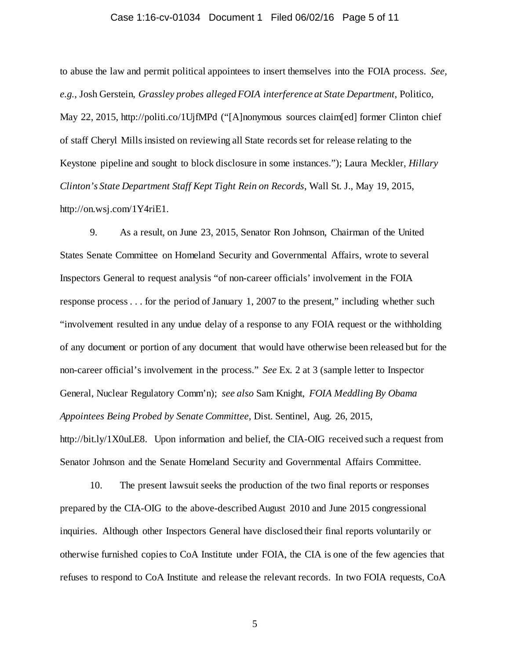#### Case 1:16-cv-01034 Document 1 Filed 06/02/16 Page 5 of 11

to abuse the law and permit political appointees to insert themselves into the FOIA process. *See, e.g.*, Josh Gerstein, *Grassley probes alleged FOIA interference at State Department*, Politico, May 22, 2015, http://politi.co/1UjfMPd ("[A]nonymous sources claim[ed] former Clinton chief of staff Cheryl Mills insisted on reviewing all State records set for release relating to the Keystone pipeline and sought to block disclosure in some instances."); Laura Meckler, *Hillary Clinton's State Department Staff Kept Tight Rein on Records*, Wall St. J., May 19, 2015, http://on.wsj.com/1Y4riE1.

9. As a result, on June 23, 2015, Senator Ron Johnson, Chairman of the United States Senate Committee on Homeland Security and Governmental Affairs, wrote to several Inspectors General to request analysis "of non-career officials' involvement in the FOIA response process . . . for the period of January 1, 2007 to the present," including whether such "involvement resulted in any undue delay of a response to any FOIA request or the withholding of any document or portion of any document that would have otherwise been released but for the non-career official's involvement in the process." *See* Ex. 2 at 3 (sample letter to Inspector General, Nuclear Regulatory Comm'n); *see also* Sam Knight, *FOIA Meddling By Obama Appointees Being Probed by Senate Committee*, Dist. Sentinel, Aug. 26, 2015,

http://bit.ly/1X0uLE8. Upon information and belief, the CIA-OIG received such a request from Senator Johnson and the Senate Homeland Security and Governmental Affairs Committee.

10. The present lawsuit seeks the production of the two final reports or responses prepared by the CIA-OIG to the above-described August 2010 and June 2015 congressional inquiries. Although other Inspectors General have disclosed their final reports voluntarily or otherwise furnished copies to CoA Institute under FOIA, the CIA is one of the few agencies that refuses to respond to CoA Institute and release the relevant records. In two FOIA requests, CoA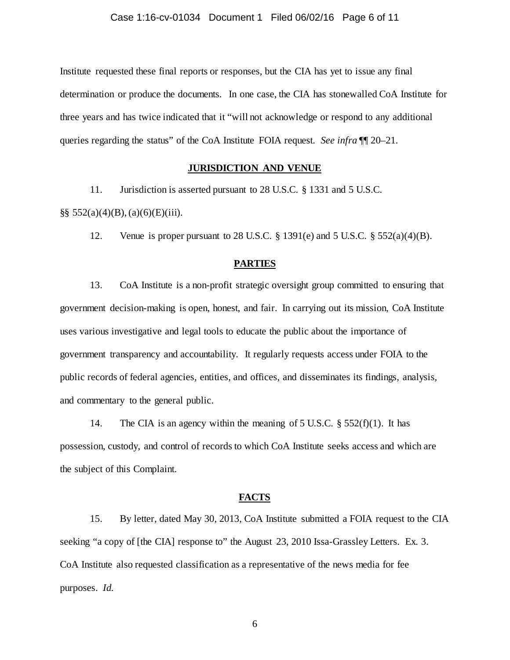Institute requested these final reports or responses, but the CIA has yet to issue any final determination or produce the documents. In one case, the CIA has stonewalled CoA Institute for three years and has twice indicated that it "will not acknowledge or respond to any additional queries regarding the status" of the CoA Institute FOIA request. *See infra* ¶¶ [20](#page-6-0)[–21.](#page-7-0)

## **JURISDICTION AND VENUE**

11. Jurisdiction is asserted pursuant to 28 U.S.C. § 1331 and 5 U.S.C.

§§ 552(a)(4)(B), (a)(6)(E)(iii).

12. Venue is proper pursuant to 28 U.S.C.  $\S$  1391(e) and 5 U.S.C.  $\S$  552(a)(4)(B).

### **PARTIES**

13. CoA Institute is a non-profit strategic oversight group committed to ensuring that government decision-making is open, honest, and fair. In carrying out its mission, CoA Institute uses various investigative and legal tools to educate the public about the importance of government transparency and accountability. It regularly requests access under FOIA to the public records of federal agencies, entities, and offices, and disseminates its findings, analysis, and commentary to the general public.

14. The CIA is an agency within the meaning of 5 U.S.C.  $\S$  552(f)(1). It has possession, custody, and control of records to which CoA Institute seeks access and which are the subject of this Complaint.

#### **FACTS**

15. By letter, dated May 30, 2013, CoA Institute submitted a FOIA request to the CIA seeking "a copy of [the CIA] response to" the August 23, 2010 Issa-Grassley Letters. Ex. 3. CoA Institute also requested classification as a representative of the news media for fee purposes. *Id.*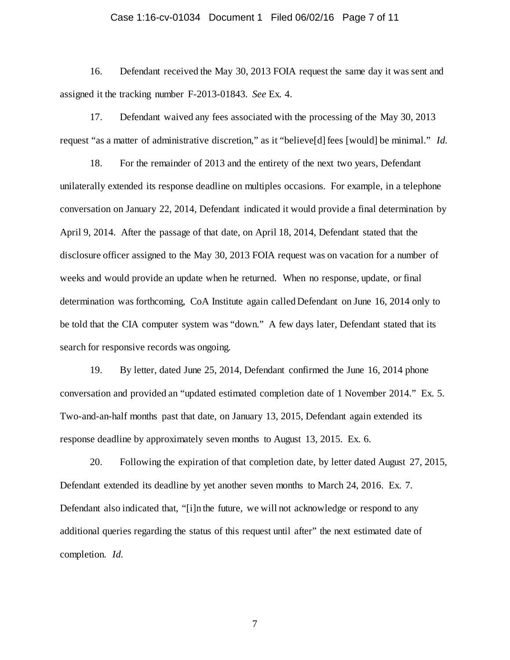#### Case 1:16-cv-01034 Document 1 Filed 06/02/16 Page 7 of 11

16. Defendant received the May 30, 2013 FOIA request the same day it was sent and assigned it the tracking number F-2013-01843. *See* Ex. 4.

17. Defendant waived any fees associated with the processing of the May 30, 2013 request "as a matter of administrative discretion," as it "believe[d] fees [would] be minimal." *Id.*

18. For the remainder of 2013 and the entirety of the next two years, Defendant unilaterally extended its response deadline on multiples occasions. For example, in a telephone conversation on January 22, 2014, Defendant indicated it would provide a final determination by April 9, 2014. After the passage of that date, on April 18, 2014, Defendant stated that the disclosure officer assigned to the May 30, 2013 FOIA request was on vacation for a number of weeks and would provide an update when he returned. When no response, update, or final determination was forthcoming, CoA Institute again called Defendant on June 16, 2014 only to be told that the CIA computer system was "down." A few days later, Defendant stated that its search for responsive records was ongoing.

19. By letter, dated June 25, 2014, Defendant confirmed the June 16, 2014 phone conversation and provided an "updated estimated completion date of 1 November 2014." Ex. 5. Two-and-an-half months past that date, on January 13, 2015, Defendant again extended its response deadline by approximately seven months to August 13, 2015. Ex. 6.

<span id="page-6-0"></span>20. Following the expiration of that completion date, by letter dated August 27, 2015, Defendant extended its deadline by yet another seven months to March 24, 2016. Ex. 7. Defendant also indicated that, "[i]n the future, we will not acknowledge or respond to any additional queries regarding the status of this request until after" the next estimated date of completion. *Id.*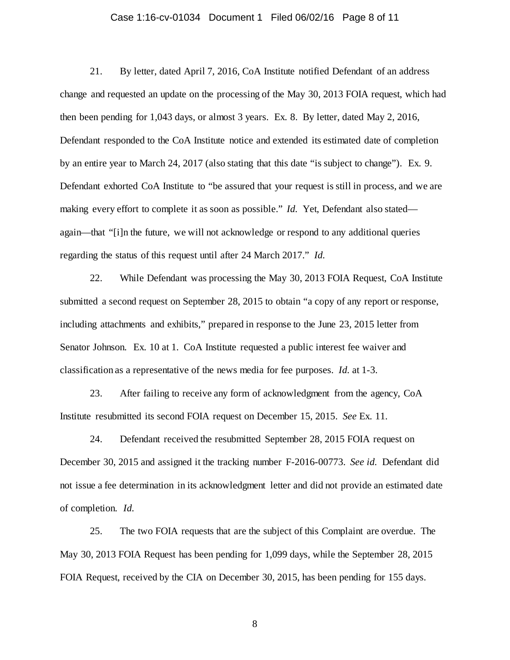#### Case 1:16-cv-01034 Document 1 Filed 06/02/16 Page 8 of 11

<span id="page-7-0"></span>21. By letter, dated April 7, 2016, CoA Institute notified Defendant of an address change and requested an update on the processing of the May 30, 2013 FOIA request, which had then been pending for 1,043 days, or almost 3 years. Ex. 8. By letter, dated May 2, 2016, Defendant responded to the CoA Institute notice and extended its estimated date of completion by an entire year to March 24, 2017 (also stating that this date "is subject to change"). Ex. 9. Defendant exhorted CoA Institute to "be assured that your request is still in process, and we are making every effort to complete it as soon as possible." *Id.* Yet, Defendant also stated again—that "[i]n the future, we will not acknowledge or respond to any additional queries regarding the status of this request until after 24 March 2017." *Id.*

22. While Defendant was processing the May 30, 2013 FOIA Request, CoA Institute submitted a second request on September 28, 2015 to obtain "a copy of any report or response, including attachments and exhibits," prepared in response to the June 23, 2015 letter from Senator Johnson. Ex. 10 at 1. CoA Institute requested a public interest fee waiver and classification as a representative of the news media for fee purposes. *Id.* at 1-3.

23. After failing to receive any form of acknowledgment from the agency, CoA Institute resubmitted its second FOIA request on December 15, 2015. *See* Ex. 11.

24. Defendant received the resubmitted September 28, 2015 FOIA request on December 30, 2015 and assigned it the tracking number F-2016-00773. *See id.* Defendant did not issue a fee determination in its acknowledgment letter and did not provide an estimated date of completion. *Id.*

25. The two FOIA requests that are the subject of this Complaint are overdue. The May 30, 2013 FOIA Request has been pending for 1,099 days, while the September 28, 2015 FOIA Request, received by the CIA on December 30, 2015, has been pending for 155 days.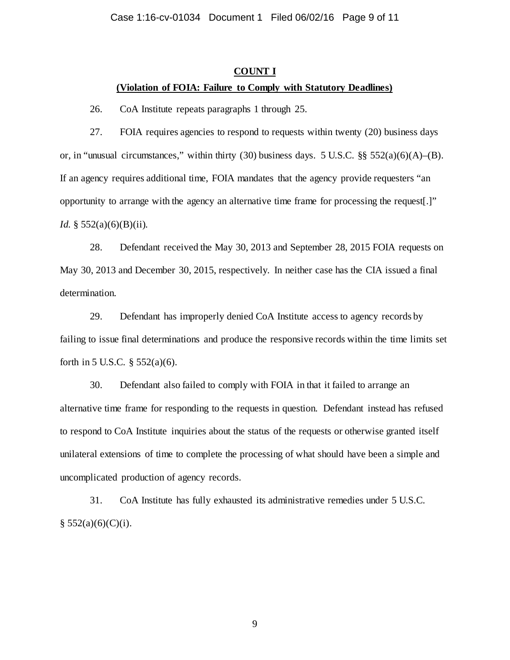### **COUNT I**

## **(Violation of FOIA: Failure to Comply with Statutory Deadlines)**

26. CoA Institute repeats paragraphs 1 through 25.

27. FOIA requires agencies to respond to requests within twenty (20) business days or, in "unusual circumstances," within thirty (30) business days. 5 U.S.C.  $\S$ § 552(a)(6)(A)–(B). If an agency requires additional time, FOIA mandates that the agency provide requesters "an opportunity to arrange with the agency an alternative time frame for processing the request[.]" *Id.* § 552(a)(6)(B)(ii).

28. Defendant received the May 30, 2013 and September 28, 2015 FOIA requests on May 30, 2013 and December 30, 2015, respectively. In neither case has the CIA issued a final determination.

29. Defendant has improperly denied CoA Institute access to agency records by failing to issue final determinations and produce the responsive records within the time limits set forth in 5 U.S.C.  $\S$  552(a)(6).

30. Defendant also failed to comply with FOIA in that it failed to arrange an alternative time frame for responding to the requests in question. Defendant instead has refused to respond to CoA Institute inquiries about the status of the requests or otherwise granted itself unilateral extensions of time to complete the processing of what should have been a simple and uncomplicated production of agency records.

31. CoA Institute has fully exhausted its administrative remedies under 5 U.S.C.  $§ 552(a)(6)(C)(i).$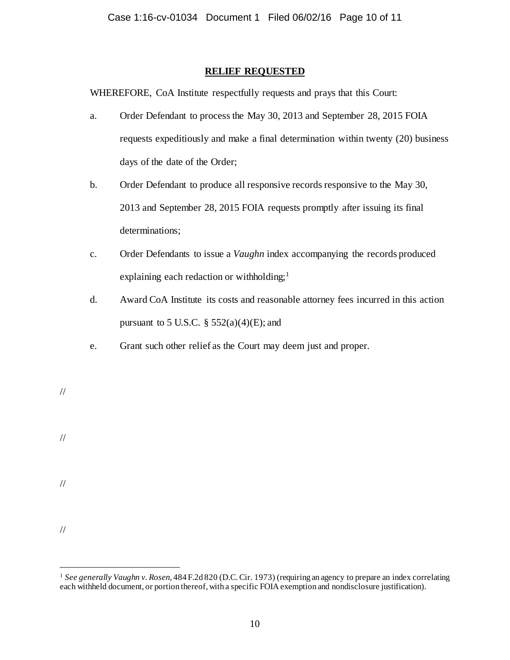# **RELIEF REQUESTED**

WHEREFORE, CoA Institute respectfully requests and prays that this Court:

- a. Order Defendant to process the May 30, 2013 and September 28, 2015 FOIA requests expeditiously and make a final determination within twenty (20) business days of the date of the Order;
- b. Order Defendant to produce all responsive records responsive to the May 30, 2013 and September 28, 2015 FOIA requests promptly after issuing its final determinations;
- c. Order Defendants to issue a *Vaughn* index accompanying the records produced explaining each redaction or withholding;<sup>[1](#page-9-0)</sup>
- d. Award CoA Institute its costs and reasonable attorney fees incurred in this action pursuant to 5 U.S.C.  $\S$  552(a)(4)(E); and
- e. Grant such other relief as the Court may deem just and proper.

//

//

//

<span id="page-9-0"></span> <sup>1</sup> *See generally Vaughn v. Rosen*, 484 F.2d 820 (D.C. Cir. 1973) (requiring an agency to prepare an index correlating each withheld document, or portion thereof, with a specific FOIA exemption and nondisclosure justification).